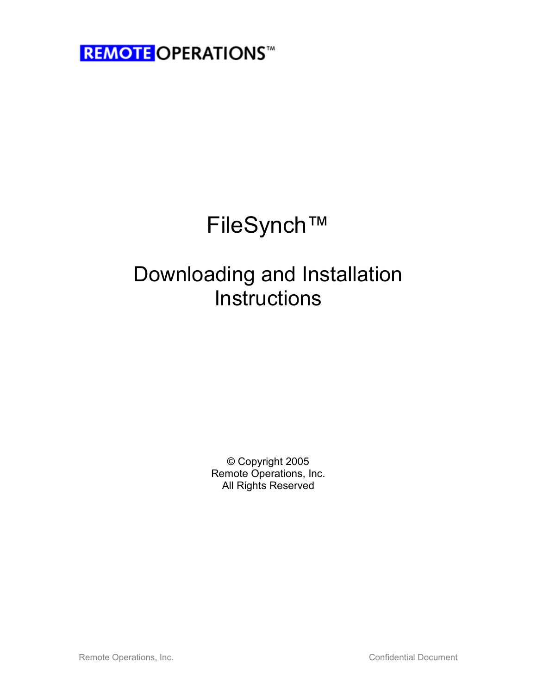# FileSynch™

## Downloading and Installation **Instructions**

© Copyright 2005 Remote Operations, Inc. All Rights Reserved

Remote Operations, Inc. **Confidential Document** Confidential Document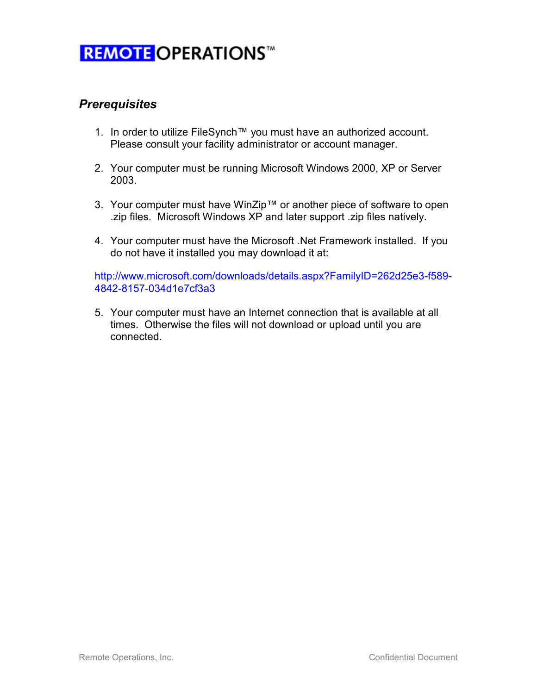#### **Prerequisites**

- 1. In order to utilize FileSynch™ you must have an authorized account. Please consult your facility administrator or account manager.
- 2. Your computer must be running Microsoft Windows 2000, XP or Server 2003.
- 3. Your computer must have WinZip™ or another piece of software to open .zip files. Microsoft Windows XP and later support .zip files natively.
- 4. Your computer must have the Microsoft .Net Framework installed. If you do not have it installed you may download it at:

http://www.microsoft.com/downloads/details.aspx?FamilyID=262d25e3-f589- 4842-8157-034d1e7cf3a3

5. Your computer must have an Internet connection that is available at all times. Otherwise the files will not download or upload until you are connected.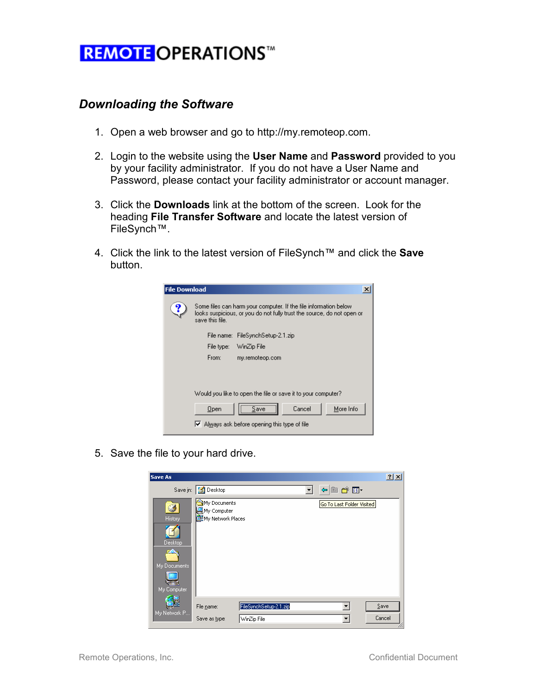#### Downloading the Software

- 1. Open a web browser and go to http://my.remoteop.com.
- 2. Login to the website using the User Name and Password provided to you by your facility administrator. If you do not have a User Name and Password, please contact your facility administrator or account manager.
- 3. Click the Downloads link at the bottom of the screen. Look for the heading File Transfer Software and locate the latest version of FileSynch™.
- 4. Click the link to the latest version of FileSynch™ and click the Save button.



5. Save the file to your hard drive.

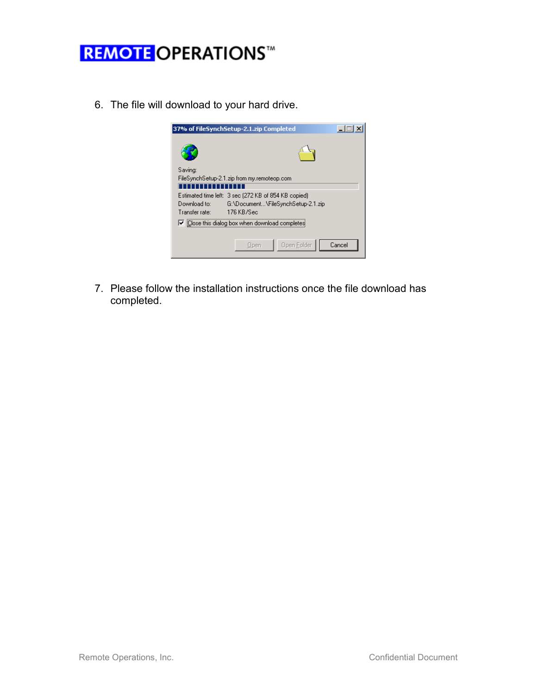6. The file will download to your hard drive.

|                                                               | 37% of FileSynchSetup-2.1.zip Completed              |        |  |  |  |
|---------------------------------------------------------------|------------------------------------------------------|--------|--|--|--|
|                                                               |                                                      |        |  |  |  |
| Saving:                                                       |                                                      |        |  |  |  |
| FileSynchSetup-2.1.zip from my.remoteop.com                   |                                                      |        |  |  |  |
| ,,,,,,,                                                       |                                                      |        |  |  |  |
|                                                               | Estimated time left: 3 sec (272 KB of 854 KB copied) |        |  |  |  |
| Download to:                                                  | G:\Document\FileSynchSetup-2.1.zip                   |        |  |  |  |
| Transfer rate:                                                | 176 KB/Sec                                           |        |  |  |  |
| $\triangledown$ Close this dialog box when download completes |                                                      |        |  |  |  |
|                                                               |                                                      |        |  |  |  |
|                                                               | Open Folder<br>Open                                  | Cancel |  |  |  |

7. Please follow the installation instructions once the file download has completed.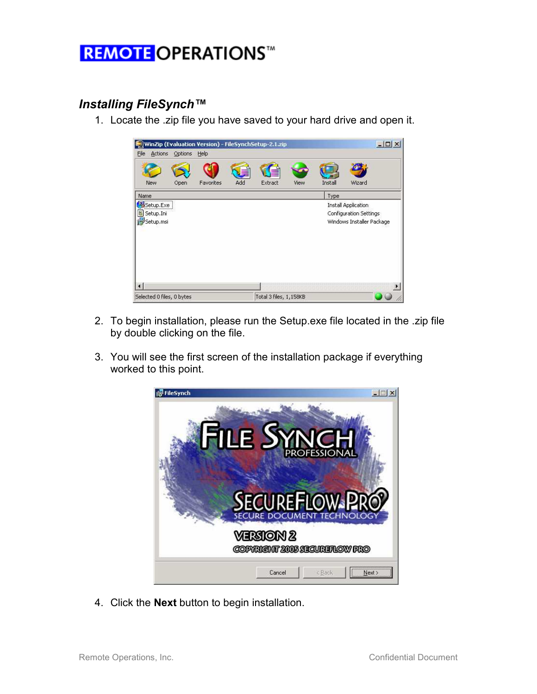#### Installing FileSynch™

1. Locate the .zip file you have saved to your hard drive and open it.



- 2. To begin installation, please run the Setup.exe file located in the .zip file by double clicking on the file.
- 3. You will see the first screen of the installation package if everything worked to this point.



4. Click the Next button to begin installation.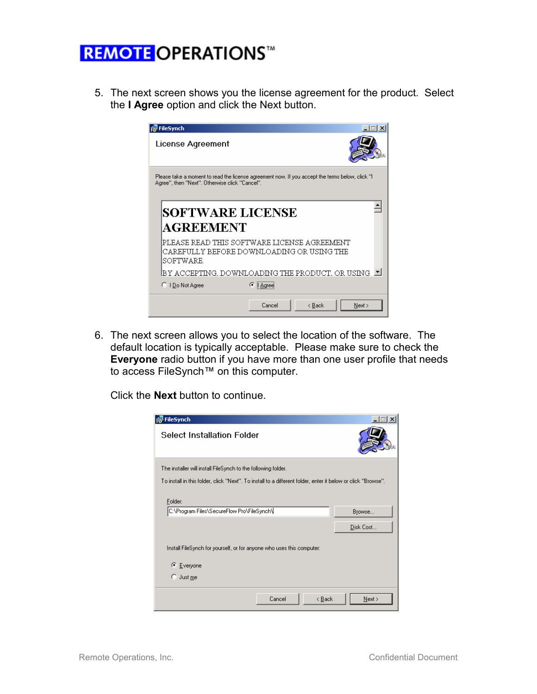5. The next screen shows you the license agreement for the product. Select the I Agree option and click the Next button.



6. The next screen allows you to select the location of the software. The default location is typically acceptable. Please make sure to check the Everyone radio button if you have more than one user profile that needs to access FileSynch™ on this computer.

Click the Next button to continue.

| <b>FileSynch</b>                                                                                             |        |                |                     |  |  |
|--------------------------------------------------------------------------------------------------------------|--------|----------------|---------------------|--|--|
| Select Installation Folder                                                                                   |        |                |                     |  |  |
| The installer will install FileSynch to the following folder.                                                |        |                |                     |  |  |
| To install in this folder, click "Next". To install to a different folder, enter it below or click "Browse". |        |                |                     |  |  |
| Folder:<br>C:\Program Files\SecureFlow Pro\FileSynch\                                                        |        |                | Browse<br>Disk Cost |  |  |
| Install FileSynch for yourself, or for anyone who uses this computer:                                        |        |                |                     |  |  |
| C Everyone                                                                                                   |        |                |                     |  |  |
| o<br>Just me                                                                                                 |        |                |                     |  |  |
|                                                                                                              | Cancel | < <u>B</u> ack | Next >              |  |  |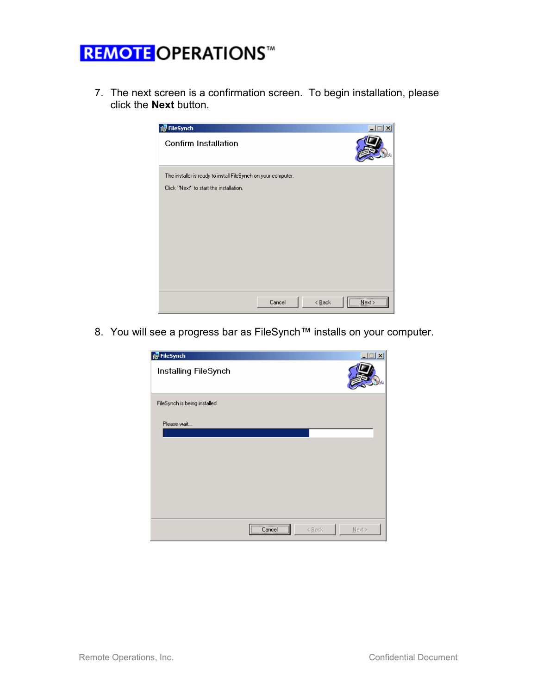7. The next screen is a confirmation screen. To begin installation, please click the Next button.



8. You will see a progress bar as FileSynch™ installs on your computer.

| FileSynch                     |            |        | $\Box$ $\times$ |
|-------------------------------|------------|--------|-----------------|
| Installing FileSynch          |            |        |                 |
| FileSynch is being installed. |            |        |                 |
| Please wait                   |            |        |                 |
|                               |            |        |                 |
|                               |            |        |                 |
|                               |            |        |                 |
|                               | Cancel<br> | < Back | $N$ ext >       |